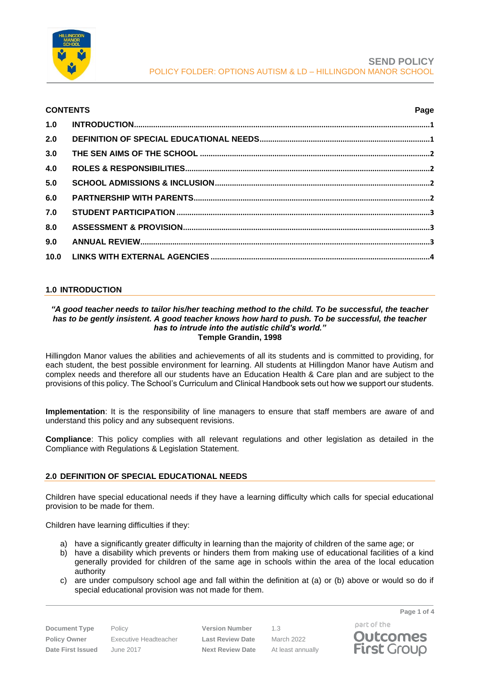

| <b>CONTENTS</b> |  | Page |
|-----------------|--|------|
|                 |  |      |
| 2.0             |  |      |
| 3.0             |  |      |
| 4.0             |  |      |
| 5.0             |  |      |
| 6.0             |  |      |
| 7.0             |  |      |
| 8.0             |  |      |
| 9.0             |  |      |
|                 |  |      |

# <span id="page-0-0"></span>**1.0 INTRODUCTION**

#### *"A good teacher needs to tailor his/her teaching method to the child. To be successful, the teacher has to be gently insistent. A good teacher knows how hard to push. To be successful, the teacher has to intrude into the autistic child's world."* **Temple Grandin, 1998**

Hillingdon Manor values the abilities and achievements of all its students and is committed to providing, for each student, the best possible environment for learning. All students at Hillingdon Manor have Autism and complex needs and therefore all our students have an Education Health & Care plan and are subject to the provisions of this policy. The School's Curriculum and Clinical Handbook sets out how we support our students.

**Implementation**: It is the responsibility of line managers to ensure that staff members are aware of and understand this policy and any subsequent revisions.

**Compliance**: This policy complies with all relevant regulations and other legislation as detailed in the Compliance with Regulations & Legislation Statement.

# <span id="page-0-1"></span>**2.0 DEFINITION OF SPECIAL EDUCATIONAL NEEDS**

Children have special educational needs if they have a learning difficulty which calls for special educational provision to be made for them.

Children have learning difficulties if they:

- a) have a significantly greater difficulty in learning than the majority of children of the same age; or
- b) have a disability which prevents or hinders them from making use of educational facilities of a kind generally provided for children of the same age in schools within the area of the local education authority
- c) are under compulsory school age and fall within the definition at (a) or (b) above or would so do if special educational provision was not made for them.

**Document Type** Policy **Version Number** 1.3

**Policy Owner** Executive Headteacher **Last Review Date** March 2022 **Date First Issued** June 2017 **Next Review Date** At least annually

part of the **Outcomes First Group** 

**Page 1 of 4**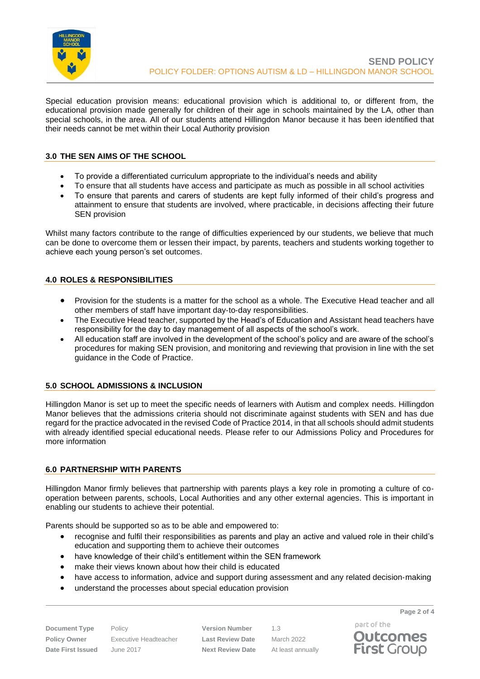

Special education provision means: educational provision which is additional to, or different from, the educational provision made generally for children of their age in schools maintained by the LA, other than special schools, in the area. All of our students attend Hillingdon Manor because it has been identified that their needs cannot be met within their Local Authority provision

# <span id="page-1-0"></span>**3.0 THE SEN AIMS OF THE SCHOOL**

- To provide a differentiated curriculum appropriate to the individual's needs and ability
- To ensure that all students have access and participate as much as possible in all school activities
- To ensure that parents and carers of students are kept fully informed of their child's progress and attainment to ensure that students are involved, where practicable, in decisions affecting their future SEN provision

Whilst many factors contribute to the range of difficulties experienced by our students, we believe that much can be done to overcome them or lessen their impact, by parents, teachers and students working together to achieve each young person's set outcomes.

# <span id="page-1-1"></span>**4.0 ROLES & RESPONSIBILITIES**

- Provision for the students is a matter for the school as a whole. The Executive Head teacher and all other members of staff have important day‐to‐day responsibilities.
- The Executive Head teacher, supported by the Head's of Education and Assistant head teachers have responsibility for the day to day management of all aspects of the school's work.
- All education staff are involved in the development of the school's policy and are aware of the school's procedures for making SEN provision, and monitoring and reviewing that provision in line with the set guidance in the Code of Practice.

# <span id="page-1-2"></span>**5.0 SCHOOL ADMISSIONS & INCLUSION**

Hillingdon Manor is set up to meet the specific needs of learners with Autism and complex needs. Hillingdon Manor believes that the admissions criteria should not discriminate against students with SEN and has due regard for the practice advocated in the revised Code of Practice 2014, in that all schools should admit students with already identified special educational needs. Please refer to our Admissions Policy and Procedures for more information

# <span id="page-1-3"></span>**6.0 PARTNERSHIP WITH PARENTS**

Hillingdon Manor firmly believes that partnership with parents plays a key role in promoting a culture of co‐ operation between parents, schools, Local Authorities and any other external agencies. This is important in enabling our students to achieve their potential.

Parents should be supported so as to be able and empowered to:

- recognise and fulfil their responsibilities as parents and play an active and valued role in their child's education and supporting them to achieve their outcomes
- have knowledge of their child's entitlement within the SEN framework
- make their views known about how their child is educated
- have access to information, advice and support during assessment and any related decision-making
- understand the processes about special education provision

**Document Type** Policy **Version Number** 1.3 **Policy Owner** Executive Headteacher **Last Review Date** March 2022 **Date First Issued** June 2017 **Next Review Date** At least annually

**Page 2 of 4**



part of the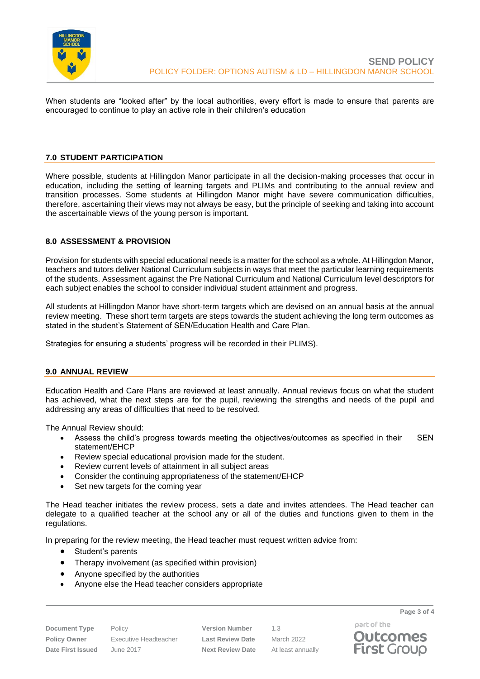

When students are "looked after" by the local authorities, every effort is made to ensure that parents are encouraged to continue to play an active role in their children's education

#### <span id="page-2-0"></span>**7.0 STUDENT PARTICIPATION**

Where possible, students at Hillingdon Manor participate in all the decision-making processes that occur in education, including the setting of learning targets and PLIMs and contributing to the annual review and transition processes. Some students at Hillingdon Manor might have severe communication difficulties, therefore, ascertaining their views may not always be easy, but the principle of seeking and taking into account the ascertainable views of the young person is important.

#### <span id="page-2-1"></span>**8.0 ASSESSMENT & PROVISION**

Provision for students with special educational needs is a matter for the school as a whole. At Hillingdon Manor, teachers and tutors deliver National Curriculum subjects in ways that meet the particular learning requirements of the students. Assessment against the Pre National Curriculum and National Curriculum level descriptors for each subject enables the school to consider individual student attainment and progress.

All students at Hillingdon Manor have short‐term targets which are devised on an annual basis at the annual review meeting. These short term targets are steps towards the student achieving the long term outcomes as stated in the student's Statement of SEN/Education Health and Care Plan.

Strategies for ensuring a students' progress will be recorded in their PLIMS).

#### <span id="page-2-2"></span>**9.0 ANNUAL REVIEW**

Education Health and Care Plans are reviewed at least annually. Annual reviews focus on what the student has achieved, what the next steps are for the pupil, reviewing the strengths and needs of the pupil and addressing any areas of difficulties that need to be resolved.

The Annual Review should:

- Assess the child's progress towards meeting the objectives/outcomes as specified in their SEN statement/EHCP
- Review special educational provision made for the student.
- Review current levels of attainment in all subject areas
- Consider the continuing appropriateness of the statement/EHCP
- Set new targets for the coming year

The Head teacher initiates the review process, sets a date and invites attendees. The Head teacher can delegate to a qualified teacher at the school any or all of the duties and functions given to them in the regulations.

In preparing for the review meeting, the Head teacher must request written advice from:

- Student's parents
- Therapy involvement (as specified within provision)
- Anyone specified by the authorities
- Anyone else the Head teacher considers appropriate

**Document Type** Policy **Version Number** 1.3 **Policy Owner** Executive Headteacher **Last Review Date** March 2022 **Date First Issued** June 2017 **Next Review Date** At least annually

part of the **Outcomes First Group** 

**Page 3 of 4**